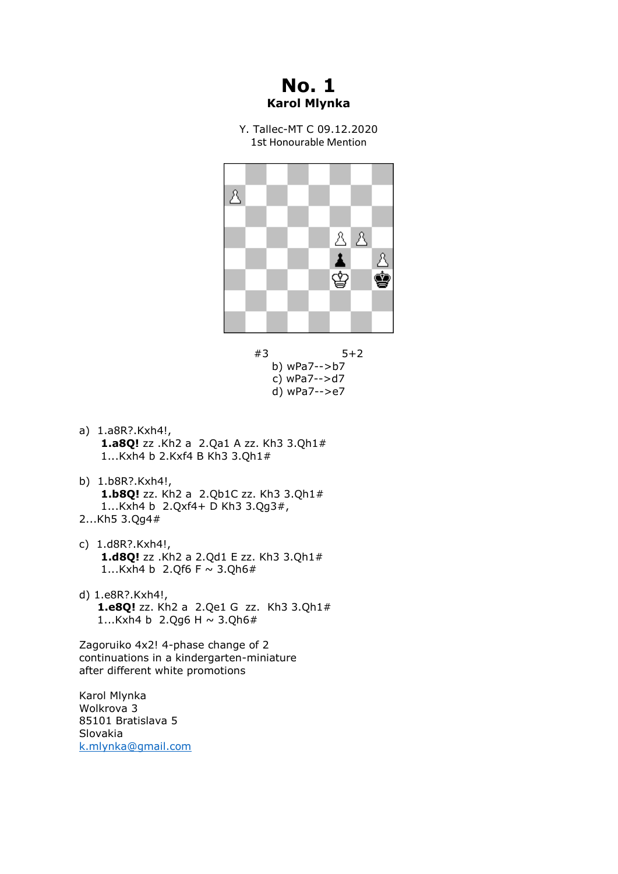## **No. 1 Karol Mlynka**

Y. Tallec-MT C 09.12.2020 1st Honourable Mention



#3 5+2 b) wPa7-->b7 c) wPa7-->d7 d) wPa7-->e7

- a) 1.a8R?.Kxh4!, **1.a8Q!** zz .Kh2 a 2.Qa1 A zz. Kh3 3.Qh1# 1...Kxh4 b 2.Kxf4 B Kh3 3.Qh1#
- b) 1.b8R?.Kxh4!, **1.b8Q!** zz. Kh2 a 2.Qb1C zz. Kh3 3.Qh1# 1...Kxh4 b 2.Qxf4+ D Kh3 3.Qg3#, 2...Kh5 3.Qg4#
- c) 1.d8R?.Kxh4!, **1.d8Q!** zz .Kh2 a 2.Qd1 E zz. Kh3 3.Qh1# 1...Kxh4 b 2.Qf6 F  $\sim$  3.Qh6#
- d) 1.e8R?.Kxh4!, **1.e8Q!** zz. Kh2 a 2.Qe1 G zz. Kh3 3.Qh1# 1...Kxh4 b 2.Qq6 H  $\sim$  3.Qh6#

Zagoruiko 4x2! 4-phase change of 2 continuations in a kindergarten-miniature after different white promotions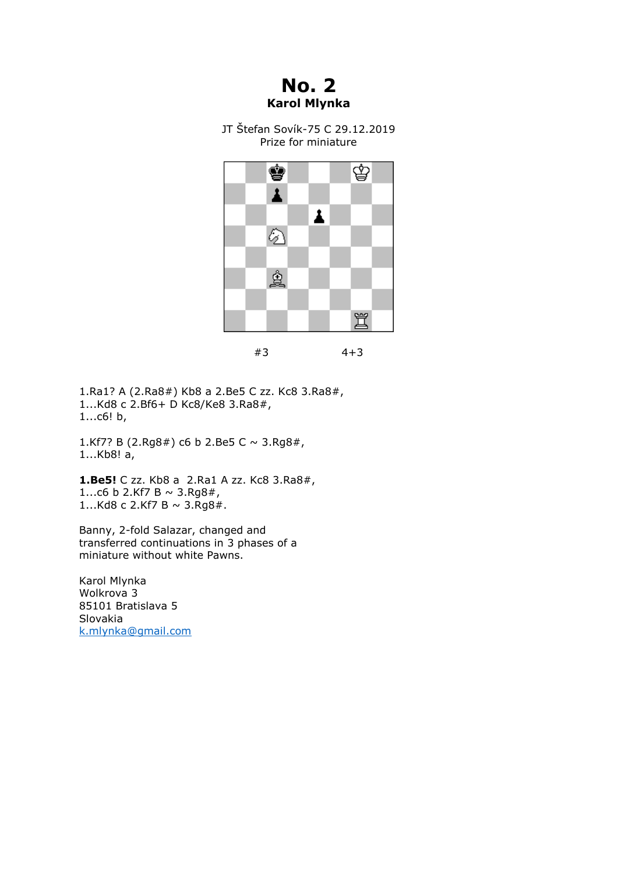**No. 2 Karol Mlynka**

JT Štefan Sovík-75 C 29.12.2019 Prize for miniature



#3 4+3

1.Ra1? A (2.Ra8#) Kb8 a 2.Be5 C zz. Kc8 3.Ra8#, 1...Kd8 c 2.Bf6+ D Kc8/Ke8 3.Ra8#, 1...c6! b,

1.Kf7? B (2.Rg8#) c6 b 2.Be5 C  $\sim$  3.Rg8#, 1...Kb8! a,

**1.Be5!** C zz. Kb8 a 2.Ra1 A zz. Kc8 3.Ra8#, 1...c6 b 2.Kf7 B  $\sim$  3.Rg8#, 1...Kd8 c 2.Kf7 B  $\sim$  3.Rg8#.

Banny, 2-fold Salazar, changed and transferred continuations in 3 phases of a miniature without white Pawns.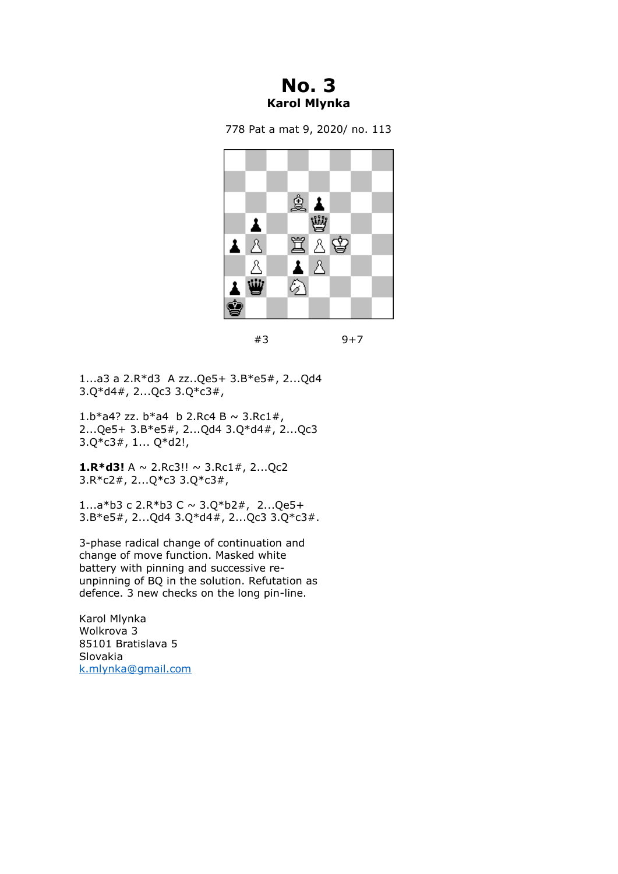## **No. 3 Karol Mlynka**

778 Pat a mat 9, 2020/ no. 113



<sup>#3 9+7</sup>

1...a3 a 2.R\*d3 A zz..Qe5+ 3.B\*e5#, 2...Qd4 3.Q\*d4#, 2...Qc3 3.Q\*c3#,

1.b\*a4? zz. b\*a4 b 2.Rc4 B ~ 3.Rc1#, 2...Qe5+ 3.B\*e5#, 2...Qd4 3.Q\*d4#, 2...Qc3 3.Q\*c3#, 1... Q\*d2!,

**1.R\*d3!**  $A \sim 2$ .Rc3!!  $\sim 3$ .Rc1#, 2...Qc2 3.R\*c2#, 2...Q\*c3 3.Q\*c3#,

1...a\*b3 c 2.R\*b3 C ~ 3.Q\*b2#, 2...Qe5+ 3.B\*e5#, 2...Qd4 3.Q\*d4#, 2...Qc3 3.Q\*c3#.

3-phase radical change of continuation and change of move function. Masked white battery with pinning and successive reunpinning of BQ in the solution. Refutation as defence. 3 new checks on the long pin-line.